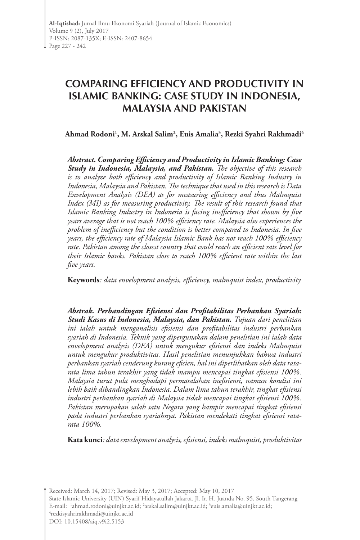# **COMPARING EFFICIENCY AND PRODUCTIVITY IN ISLAMIC BANKING: CASE STUDY IN INDONESIA, MALAYSIA AND PAKISTAN**

**Ahmad Rodoni1 , M. Arskal Salim2 , Euis Amalia3 , Rezki Syahri Rakhmadi4**

*Abstract. Comparing Efficiency and Productivity in Islamic Banking: Case Study in Indonesia, Malaysia, and Pakistan. The objective of this research is to analyze both efficiency and productivity of Islamic Banking Industry in Indonesia, Malaysia and Pakistan. The technique that used in this research is Data Envelopment Analysis (DEA) as for measuring efficiency and thus Malmquist Index (MI) as for measuring productivity. The result of this research found that Islamic Banking Industry in Indonesia is facing inefficiency that shown by five years average that is not reach 100% efficiency rate. Malaysia also experiences the problem of inefficiency but the condition is better compared to Indonesia. In five years, the efficiency rate of Malaysia Islamic Bank has not reach 100% efficiency rate. Pakistan among the closest country that could reach an efficient rate level for their Islamic banks. Pakistan close to reach 100% efficient rate within the last five years.* 

**Keywords***: data envelopment analysis, efficiency, malmquist index, productivity*

*Abstrak. Perbandingan Efisiensi dan Profitabilitas Perbankan Syariah: Studi Kasus di Indonesia, Malaysia, dan Pakistan. Tujuan dari penelitian ini ialah untuk menganalisis efisiensi dan profitabilitas industri perbankan syariah di Indonesia. Teknik yang dipergunakan dalam penelitian ini ialah data envelopment analysis (DEA) untuk mengukur efisiensi dan indeks Malmquist untuk mengukur produktivitas. Hasil penelitian menunjukkan bahwa industri perbankan syariah cenderung kurang efisien, hal ini diperlihatkan oleh data ratarata lima tahun terakhir yang tidak mampu mencapai tingkat efisiensi 100%. Malaysia turut pula menghadapi permasalahan inefisiensi, namun kondisi ini lebih baik dibandingkan Indonesia. Dalam lima tahun terakhir, tingkat efisiensi industri perbankan syariah di Malaysia tidak mencapai tingkat efisiensi 100%. Pakistan merupakan salah satu Negara yang hampir mencapai tingkat efisiensi pada industri perbankan syariahnya. Pakistan mendekati tingkat efisiensi ratarata 100%.*

**Kata kunci***: data envelopment analysis, efisiensi, indeks malmquist, produktivitas*

Received: March 14, 2017; Revised: May 3, 2017; Accepted: May 10, 2017 State Islamic University (UIN) Syarif Hidayatullah Jakarta. Jl. Ir. H. Juanda No. 95, South Tangerang E-mail: 1 ahmad.rodoni@uinjkt.ac.id; 2 arskal.salim@uinjkt.ac.id; 3 euis.amalia@uinjkt.ac.id; 4 rezkisyahrirakhmadi@uinjkt.ac.id DOI: 10.15408/aiq.v9i2.5153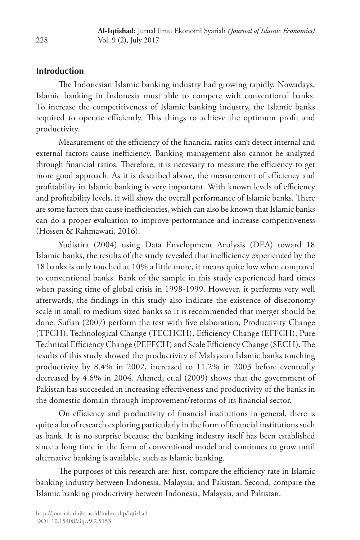## **Introduction**

The Indonesian Islamic banking industry had growing rapidly. Nowadays, Islamic banking in Indonesia must able to compete with conventional banks. To increase the competitiveness of Islamic banking industry, the Islamic banks required to operate efficiently. This things to achieve the optimum profit and productivity.

Measurement of the efficiency of the financial ratios can't detect internal and external factors cause inefficiency. Banking management also cannot be analyzed through financial ratios. Therefore, it is necessary to measure the efficiency to get more good approach. As it is described above, the measurement of efficiency and profitability in Islamic banking is very important. With known levels of efficiency and profitability levels, it will show the overall performance of Islamic banks. There are some factors that cause inefficiencies, which can also be known that Islamic banks can do a proper evaluation to improve performance and increase competitiveness (Hossen & Rahmawati, 2016).

Yudistira (2004) using Data Envelopment Analysis (DEA) toward 18 Islamic banks, the results of the study revealed that inefficiency experienced by the 18 banks is only touched at 10% a little more, it means quite low when compared to conventional banks. Bank of the sample in this study experienced hard times when passing time of global crisis in 1998-1999. However, it performs very well afterwards, the findings in this study also indicate the existence of diseconomy scale in small to medium sized banks so it is recommended that merger should be done. Sufian (2007) perform the test with five elaboration, Productivity Change (TPCH), Technological Change (TECHCH), Efficiency Change (EFFCH), Pure Technical Efficiency Change (PEFFCH) and Scale Efficiency Change (SECH). The results of this study showed the productivity of Malaysian Islamic banks touching productivity by 8.4% in 2002, increased to 11.2% in 2003 before eventually decreased by 4.6% in 2004. Ahmed, et.al (2009) shows that the government of Pakistan has succeeded in increasing effectiveness and productivity of the banks in the domestic domain through improvement/reforms of its financial sector.

On efficiency and productivity of financial institutions in general, there is quite a lot of research exploring particularly in the form of financial institutions such as bank. It is no surprise because the banking industry itself has been established since a long time in the form of conventional model and continues to grow until alternative banking is available, such as Islamic banking.

The purposes of this research are: first, compare the efficiency rate in Islamic banking industry between Indonesia, Malaysia, and Pakistan. Second, compare the Islamic banking productivity between Indonesia, Malaysia, and Pakistan.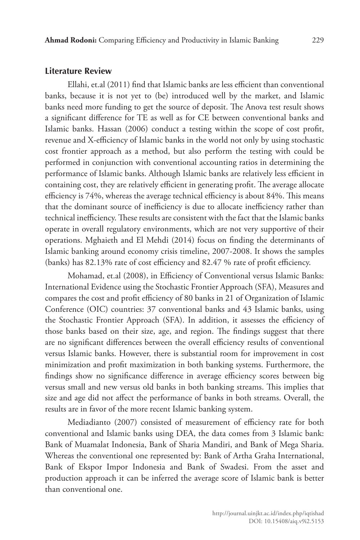#### **Literature Review**

Ellahi, et.al (2011) find that Islamic banks are less efficient than conventional banks, because it is not yet to (be) introduced well by the market, and Islamic banks need more funding to get the source of deposit. The Anova test result shows a significant difference for TE as well as for CE between conventional banks and Islamic banks. Hassan (2006) conduct a testing within the scope of cost profit, revenue and X-efficiency of Islamic banks in the world not only by using stochastic cost frontier approach as a method, but also perform the testing with could be performed in conjunction with conventional accounting ratios in determining the performance of Islamic banks. Although Islamic banks are relatively less efficient in containing cost, they are relatively efficient in generating profit. The average allocate efficiency is 74%, whereas the average technical efficiency is about 84%. This means that the dominant source of inefficiency is due to allocate inefficiency rather than technical inefficiency. These results are consistent with the fact that the Islamic banks operate in overall regulatory environments, which are not very supportive of their operations. Mghaieth and El Mehdi (2014) focus on finding the determinants of Islamic banking around economy crisis timeline, 2007-2008. It shows the samples (banks) has 82.13% rate of cost efficiency and 82.47 % rate of profit efficiency.

Mohamad, et.al (2008), in Efficiency of Conventional versus Islamic Banks: International Evidence using the Stochastic Frontier Approach (SFA), Measures and compares the cost and profit efficiency of 80 banks in 21 of Organization of Islamic Conference (OIC) countries: 37 conventional banks and 43 Islamic banks, using the Stochastic Frontier Approach (SFA). In addition, it assesses the efficiency of those banks based on their size, age, and region. The findings suggest that there are no significant differences between the overall efficiency results of conventional versus Islamic banks. However, there is substantial room for improvement in cost minimization and profit maximization in both banking systems. Furthermore, the findings show no significance difference in average efficiency scores between big versus small and new versus old banks in both banking streams. This implies that size and age did not affect the performance of banks in both streams. Overall, the results are in favor of the more recent Islamic banking system.

Mediadianto (2007) consisted of measurement of efficiency rate for both conventional and Islamic banks using DEA, the data comes from 3 Islamic bank: Bank of Muamalat Indonesia, Bank of Sharia Mandiri, and Bank of Mega Sharia. Whereas the conventional one represented by: Bank of Artha Graha International, Bank of Ekspor Impor Indonesia and Bank of Swadesi. From the asset and production approach it can be inferred the average score of Islamic bank is better than conventional one.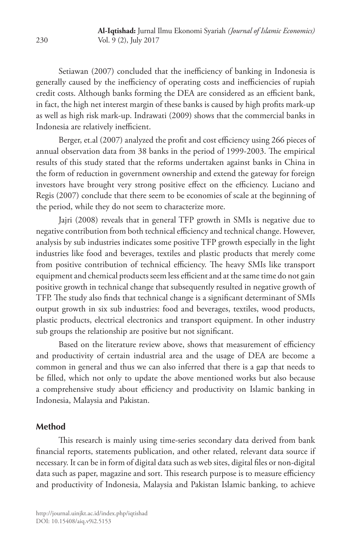Setiawan (2007) concluded that the inefficiency of banking in Indonesia is generally caused by the inefficiency of operating costs and inefficiencies of rupiah credit costs. Although banks forming the DEA are considered as an efficient bank, in fact, the high net interest margin of these banks is caused by high profits mark-up as well as high risk mark-up. Indrawati (2009) shows that the commercial banks in Indonesia are relatively inefficient.

Berger, et.al (2007) analyzed the profit and cost efficiency using 266 pieces of annual observation data from 38 banks in the period of 1999-2003. The empirical results of this study stated that the reforms undertaken against banks in China in the form of reduction in government ownership and extend the gateway for foreign investors have brought very strong positive effect on the efficiency. Luciano and Regis (2007) conclude that there seem to be economies of scale at the beginning of the period, while they do not seem to characterize more.

Jajri (2008) reveals that in general TFP growth in SMIs is negative due to negative contribution from both technical efficiency and technical change. However, analysis by sub industries indicates some positive TFP growth especially in the light industries like food and beverages, textiles and plastic products that merely come from positive contribution of technical efficiency. The heavy SMIs like transport equipment and chemical products seem less efficient and at the same time do not gain positive growth in technical change that subsequently resulted in negative growth of TFP. The study also finds that technical change is a significant determinant of SMIs output growth in six sub industries: food and beverages, textiles, wood products, plastic products, electrical electronics and transport equipment. In other industry sub groups the relationship are positive but not significant.

Based on the literature review above, shows that measurement of efficiency and productivity of certain industrial area and the usage of DEA are become a common in general and thus we can also inferred that there is a gap that needs to be filled, which not only to update the above mentioned works but also because a comprehensive study about efficiency and productivity on Islamic banking in Indonesia, Malaysia and Pakistan.

## **Method**

This research is mainly using time-series secondary data derived from bank financial reports, statements publication, and other related, relevant data source if necessary. It can be in form of digital data such as web sites, digital files or non-digital data such as paper, magazine and sort. This research purpose is to measure efficiency and productivity of Indonesia, Malaysia and Pakistan Islamic banking, to achieve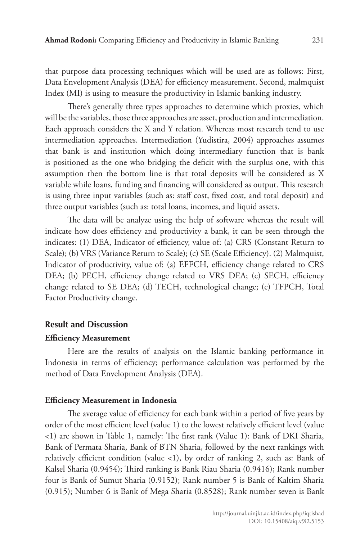that purpose data processing techniques which will be used are as follows: First, Data Envelopment Analysis (DEA) for efficiency measurement. Second, malmquist Index (MI) is using to measure the productivity in Islamic banking industry.

There's generally three types approaches to determine which proxies, which will be the variables, those three approaches are asset, production and intermediation. Each approach considers the X and Y relation. Whereas most research tend to use intermediation approaches. Intermediation (Yudistira, 2004) approaches assumes that bank is and institution which doing intermediary function that is bank is positioned as the one who bridging the deficit with the surplus one, with this assumption then the bottom line is that total deposits will be considered as X variable while loans, funding and financing will considered as output. This research is using three input variables (such as: staff cost, fixed cost, and total deposit) and three output variables (such as: total loans, incomes, and liquid assets.

The data will be analyze using the help of software whereas the result will indicate how does efficiency and productivity a bank, it can be seen through the indicates: (1) DEA, Indicator of efficiency, value of: (a) CRS (Constant Return to Scale); (b) VRS (Variance Return to Scale); (c) SE (Scale Efficiency). (2) Malmquist, Indicator of productivity, value of: (a) EFFCH, efficiency change related to CRS DEA; (b) PECH, efficiency change related to VRS DEA; (c) SECH, efficiency change related to SE DEA; (d) TECH, technological change; (e) TFPCH, Total Factor Productivity change.

#### **Result and Discussion**

#### **Efficiency Measurement**

Here are the results of analysis on the Islamic banking performance in Indonesia in terms of efficiency; performance calculation was performed by the method of Data Envelopment Analysis (DEA).

#### **Efficiency Measurement in Indonesia**

The average value of efficiency for each bank within a period of five years by order of the most efficient level (value 1) to the lowest relatively efficient level (value <1) are shown in Table 1, namely: The first rank (Value 1): Bank of DKI Sharia, Bank of Permata Sharia, Bank of BTN Sharia, followed by the next rankings with relatively efficient condition (value <1), by order of ranking 2, such as: Bank of Kalsel Sharia (0.9454); Third ranking is Bank Riau Sharia (0.9416); Rank number four is Bank of Sumut Sharia (0.9152); Rank number 5 is Bank of Kaltim Sharia (0.915); Number 6 is Bank of Mega Sharia (0.8528); Rank number seven is Bank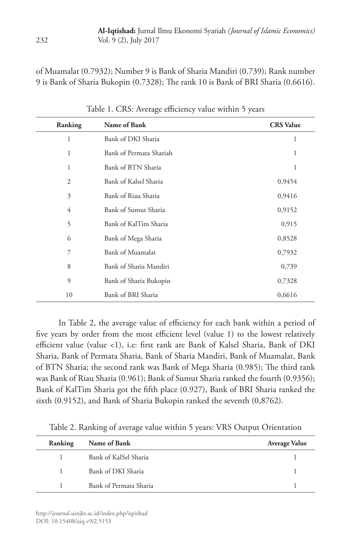of Muamalat (0.7932); Number 9 is Bank of Sharia Mandiri (0.739); Rank number 9 is Bank of Sharia Bukopin (0.7328); The rank 10 is Bank of BRI Sharia (0.6616).

| Ranking        | Name of Bank            | <b>CRS</b> Value |
|----------------|-------------------------|------------------|
| 1              | Bank of DKI Sharia      | 1                |
| 1              | Bank of Permata Shariah | 1                |
| 1              | Bank of BTN Sharia      | 1                |
| $\overline{2}$ | Bank of Kalsel Sharia   | 0,9454           |
| 3              | Bank of Riau Sharia     | 0,9416           |
| 4              | Bank of Sumut Sharia    | 0,9152           |
| 5              | Bank of KalTim Sharia   | 0,915            |
| 6              | Bank of Mega Sharia     | 0,8528           |
| 7              | <b>Bank of Muamalat</b> | 0,7932           |
| 8              | Bank of Sharia Mandiri  | 0,739            |
| 9              | Bank of Sharia Bukopin  | 0,7328           |
| 10             | Bank of BRI Sharia      | 0,6616           |

Table 1. CRS: Average efficiency value within 5 years

In Table 2, the average value of efficiency for each bank within a period of five years by order from the most efficient level (value 1) to the lowest relatively efficient value (value <1), i.e: first rank are Bank of Kalsel Sharia, Bank of DKI Sharia, Bank of Permata Sharia, Bank of Sharia Mandiri, Bank of Muamalat, Bank of BTN Sharia; the second rank was Bank of Mega Sharia (0.985); The third rank was Bank of Riau Sharia (0.961); Bank of Sumut Sharia ranked the fourth (0.9356); Bank of KalTim Sharia got the fifth place (0.927), Bank of BRI Sharia ranked the sixth (0.9152), and Bank of Sharia Bukopin ranked the seventh (0,8762).

Table 2. Ranking of average value within 5 years: VRS Output Orientation

| Ranking      | <b>Name of Bank</b>    | <b>Average Value</b> |
|--------------|------------------------|----------------------|
| 1.           | Bank of KalSel Sharia  |                      |
| $\mathbf{1}$ | Bank of DKI Sharia     |                      |
| 1.           | Bank of Permata Sharia |                      |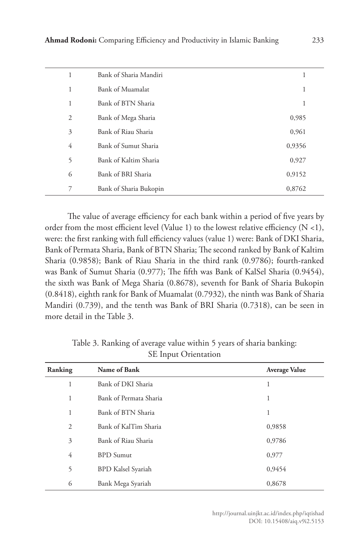| 1 | Bank of Sharia Mandiri  | 1      |
|---|-------------------------|--------|
| 1 | <b>Bank of Muamalat</b> | 1      |
| 1 | Bank of BTN Sharia      | 1      |
| 2 | Bank of Mega Sharia     | 0,985  |
| 3 | Bank of Riau Sharia     | 0,961  |
| 4 | Bank of Sumut Sharia    | 0,9356 |
| 5 | Bank of Kaltim Sharia   | 0,927  |
| 6 | Bank of BRI Sharia      | 0,9152 |
| 7 | Bank of Sharia Bukopin  | 0,8762 |

The value of average efficiency for each bank within a period of five years by order from the most efficient level (Value 1) to the lowest relative efficiency (N <1), were: the first ranking with full efficiency values (value 1) were: Bank of DKI Sharia, Bank of Permata Sharia, Bank of BTN Sharia; The second ranked by Bank of Kaltim Sharia (0.9858); Bank of Riau Sharia in the third rank (0.9786); fourth-ranked was Bank of Sumut Sharia (0.977); The fifth was Bank of KalSel Sharia (0.9454), the sixth was Bank of Mega Sharia (0.8678), seventh for Bank of Sharia Bukopin (0.8418), eighth rank for Bank of Muamalat (0.7932), the ninth was Bank of Sharia Mandiri (0.739), and the tenth was Bank of BRI Sharia (0.7318), can be seen in more detail in the Table 3.

| Ranking | Name of Bank              | <b>Average Value</b> |
|---------|---------------------------|----------------------|
| 1       | Bank of DKI Sharia        | 1                    |
| 1       | Bank of Permata Sharia    | 1                    |
| 1       | Bank of BTN Sharia        | 1                    |
| 2       | Bank of KalTim Sharia     | 0,9858               |
| 3       | Bank of Riau Sharia       | 0,9786               |
| 4       | <b>BPD</b> Sumut          | 0,977                |
| 5       | <b>BPD Kalsel Syariah</b> | 0,9454               |
| 6       | Bank Mega Syariah         | 0,8678               |

Table 3. Ranking of average value within 5 years of sharia banking: SE Input Orientation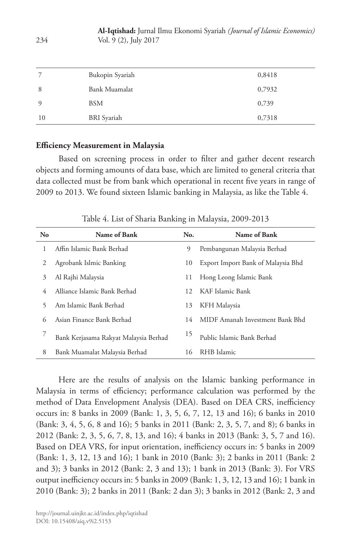|          | Bukopin Syariah | 0,8418 |
|----------|-----------------|--------|
| 8        | Bank Muamalat   | 0,7932 |
| $\Omega$ | <b>BSM</b>      | 0,739  |
| 10       | BRI Syariah     | 0,7318 |
|          |                 |        |

#### **Efficiency Measurement in Malaysia**

Based on screening process in order to filter and gather decent research objects and forming amounts of data base, which are limited to general criteria that data collected must be from bank which operational in recent five years in range of 2009 to 2013. We found sixteen Islamic banking in Malaysia, as like the Table 4.

**No Name of Bank No. Name of Bank** 1 Affin Islamic Bank Berhad 9 Pembangunan Malaysia Berhad 2 Agrobank Islmic Banking 10 Export Import Bank of Malaysia Bhd 3 Al Rajhi Malaysia 11 Hong Leong Islamic Bank 4 Alliance Islamic Bank Berhad 12 KAF Islamic Bank 5 Am Islamic Bank Berhad 13 KFH Malaysia 6 Asian Finance Bank Berhad 14 MIDF Amanah Investment Bank Bhd <sup>7</sup> Bank Kerjasama Rakyat Malaysia Berhad<sup>15</sup> Public Islamic Bank Berhad 8 Bank Muamalat Malaysia Berhad 16 RHB Islamic

Table 4. List of Sharia Banking in Malaysia, 2009-2013

Here are the results of analysis on the Islamic banking performance in Malaysia in terms of efficiency; performance calculation was performed by the method of Data Envelopment Analysis (DEA). Based on DEA CRS, inefficiency occurs in: 8 banks in 2009 (Bank: 1, 3, 5, 6, 7, 12, 13 and 16); 6 banks in 2010 (Bank: 3, 4, 5, 6, 8 and 16); 5 banks in 2011 (Bank: 2, 3, 5, 7, and 8); 6 banks in 2012 (Bank: 2, 3, 5, 6, 7, 8, 13, and 16); 4 banks in 2013 (Bank: 3, 5, 7 and 16). Based on DEA VRS, for input orientation, inefficiency occurs in: 5 banks in 2009 (Bank: 1, 3, 12, 13 and 16); 1 bank in 2010 (Bank: 3); 2 banks in 2011 (Bank: 2 and 3); 3 banks in 2012 (Bank: 2, 3 and 13); 1 bank in 2013 (Bank: 3). For VRS output inefficiency occurs in: 5 banks in 2009 (Bank: 1, 3, 12, 13 and 16); 1 bank in 2010 (Bank: 3); 2 banks in 2011 (Bank: 2 dan 3); 3 banks in 2012 (Bank: 2, 3 and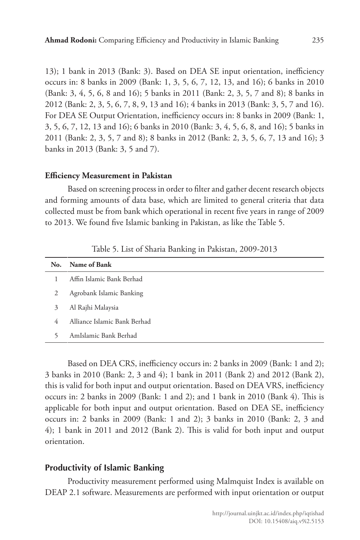13); 1 bank in 2013 (Bank: 3). Based on DEA SE input orientation, inefficiency occurs in: 8 banks in 2009 (Bank: 1, 3, 5, 6, 7, 12, 13, and 16); 6 banks in 2010 (Bank: 3, 4, 5, 6, 8 and 16); 5 banks in 2011 (Bank: 2, 3, 5, 7 and 8); 8 banks in 2012 (Bank: 2, 3, 5, 6, 7, 8, 9, 13 and 16); 4 banks in 2013 (Bank: 3, 5, 7 and 16). For DEA SE Output Orientation, inefficiency occurs in: 8 banks in 2009 (Bank: 1, 3, 5, 6, 7, 12, 13 and 16); 6 banks in 2010 (Bank: 3, 4, 5, 6, 8, and 16); 5 banks in 2011 (Bank: 2, 3, 5, 7 and 8); 8 banks in 2012 (Bank: 2, 3, 5, 6, 7, 13 and 16); 3 banks in 2013 (Bank: 3, 5 and 7).

#### **Efficiency Measurement in Pakistan**

Based on screening process in order to filter and gather decent research objects and forming amounts of data base, which are limited to general criteria that data collected must be from bank which operational in recent five years in range of 2009 to 2013. We found five Islamic banking in Pakistan, as like the Table 5.

| No. | Name of Bank                 |
|-----|------------------------------|
| 1   | Affin Islamic Bank Berhad    |
| 2   | Agrobank Islamic Banking     |
| 3   | Al Rajhi Malaysia            |
| 4   | Alliance Islamic Bank Berhad |
|     | AmIslamic Bank Berhad        |

Table 5. List of Sharia Banking in Pakistan, 2009-2013

Based on DEA CRS, inefficiency occurs in: 2 banks in 2009 (Bank: 1 and 2); 3 banks in 2010 (Bank: 2, 3 and 4); 1 bank in 2011 (Bank 2) and 2012 (Bank 2), this is valid for both input and output orientation. Based on DEA VRS, inefficiency occurs in: 2 banks in 2009 (Bank: 1 and 2); and 1 bank in 2010 (Bank 4). This is applicable for both input and output orientation. Based on DEA SE, inefficiency occurs in: 2 banks in 2009 (Bank: 1 and 2); 3 banks in 2010 (Bank: 2, 3 and 4); 1 bank in 2011 and 2012 (Bank 2). This is valid for both input and output orientation.

## **Productivity of Islamic Banking**

Productivity measurement performed using Malmquist Index is available on DEAP 2.1 software. Measurements are performed with input orientation or output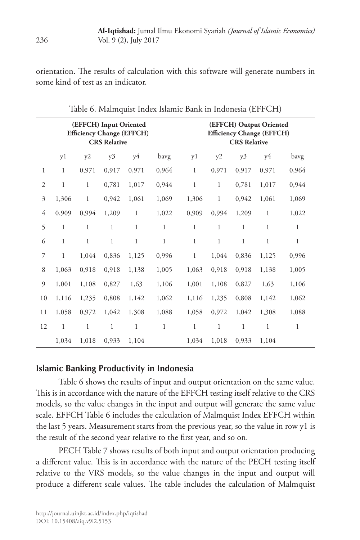orientation. The results of calculation with this software will generate numbers in some kind of test as an indicator.

|                |              |              | (EFFCH) Input Oriented<br><b>CRS</b> Relative | <b>Efficiency Change (EFFCH)</b> |              | (EFFCH) Output Oriented<br><b>Efficiency Change (EFFCH)</b><br><b>CRS</b> Relative |              |              |              |              |
|----------------|--------------|--------------|-----------------------------------------------|----------------------------------|--------------|------------------------------------------------------------------------------------|--------------|--------------|--------------|--------------|
|                | y1           | y2           | y3                                            | y4                               | bavg         | y1                                                                                 | y2           | y3           | y4           | bavg         |
| $\mathbf{1}$   | $\mathbf{1}$ | 0,971        | 0,917                                         | 0,971                            | 0,964        | $\mathbf{1}$                                                                       | 0,971        | 0,917        | 0,971        | 0,964        |
| $\overline{2}$ | 1            | $\mathbf{1}$ | 0,781                                         | 1,017                            | 0,944        | $\mathbf{1}$                                                                       | $\mathbf{1}$ | 0,781        | 1,017        | 0,944        |
| 3              | 1,306        | $\mathbf{1}$ | 0,942                                         | 1,061                            | 1,069        | 1,306                                                                              | $\mathbf{1}$ | 0,942        | 1,061        | 1,069        |
| 4              | 0,909        | 0,994        | 1,209                                         | $\mathbf{1}$                     | 1,022        | 0,909                                                                              | 0,994        | 1,209        | $\mathbf{1}$ | 1,022        |
| 5              | $\mathbf{1}$ | $\mathbf{1}$ | 1                                             | $\mathbf{1}$                     | $\mathbf{1}$ | $\mathbf{1}$                                                                       | $\mathbf{1}$ | $\mathbf{1}$ | $\mathbf{1}$ | $\mathbf{1}$ |
| 6              | $\mathbf{1}$ | $\mathbf{1}$ | $\mathbf{1}$                                  | $\mathbf{1}$                     | 1            | $\mathbf{1}$                                                                       | $\mathbf{1}$ | $\mathbf{1}$ | $\mathbf{1}$ | $\mathbf{1}$ |
| 7              | $\mathbf{1}$ | 1,044        | 0,836                                         | 1,125                            | 0,996        | $\mathbf{1}$                                                                       | 1,044        | 0,836        | 1,125        | 0,996        |
| 8              | 1,063        | 0,918        | 0,918                                         | 1,138                            | 1,005        | 1,063                                                                              | 0,918        | 0,918        | 1,138        | 1,005        |
| 9              | 1,001        | 1,108        | 0,827                                         | 1,63                             | 1,106        | 1,001                                                                              | 1,108        | 0,827        | 1,63         | 1,106        |
| 10             | 1,116        | 1,235        | 0,808                                         | 1,142                            | 1,062        | 1,116                                                                              | 1,235        | 0,808        | 1,142        | 1,062        |
| 11             | 1,058        | 0,972        | 1,042                                         | 1,308                            | 1,088        | 1,058                                                                              | 0,972        | 1,042        | 1,308        | 1,088        |
| 12             | $\mathbf{1}$ | $\mathbf{1}$ | $\mathbf{1}$                                  | $\mathbf{1}$                     | $\mathbf{1}$ | $\mathbf{1}$                                                                       | $\mathbf{1}$ | $\mathbf{1}$ | $\mathbf{1}$ | $\mathbf{1}$ |
|                | 1,034        | 1,018        | 0,933                                         | 1,104                            |              | 1,034                                                                              | 1,018        | 0,933        | 1,104        |              |

Table 6. Malmquist Index Islamic Bank in Indonesia (EFFCH)

## **Islamic Banking Productivity in Indonesia**

Table 6 shows the results of input and output orientation on the same value. This is in accordance with the nature of the EFFCH testing itself relative to the CRS models, so the value changes in the input and output will generate the same value scale. EFFCH Table 6 includes the calculation of Malmquist Index EFFCH within the last 5 years. Measurement starts from the previous year, so the value in row y1 is the result of the second year relative to the first year, and so on.

PECH Table 7 shows results of both input and output orientation producing a different value. This is in accordance with the nature of the PECH testing itself relative to the VRS models, so the value changes in the input and output will produce a different scale values. The table includes the calculation of Malmquist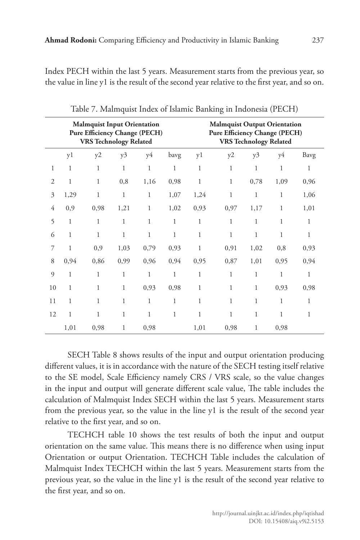Index PECH within the last 5 years. Measurement starts from the previous year, so the value in line y1 is the result of the second year relative to the first year, and so on.

|                |              | <b>Malmquist Input Orientation</b><br><b>Pure Efficiency Change (PECH)</b><br><b>VRS Technology Related</b> |              |              |              |              | <b>Malmquist Output Orientation</b><br><b>Pure Efficiency Change (PECH)</b> |              | <b>VRS Technology Related</b> |              |
|----------------|--------------|-------------------------------------------------------------------------------------------------------------|--------------|--------------|--------------|--------------|-----------------------------------------------------------------------------|--------------|-------------------------------|--------------|
|                | y1           | y2                                                                                                          | y3           | y4           | bavg         | y1           | y2                                                                          | y3           | y4                            | Bavg         |
| 1              | $\mathbf{1}$ | 1                                                                                                           | 1            | 1            | $\mathbf{1}$ | $\mathbf{1}$ | $\mathbf{1}$                                                                | 1            | $\mathbf{1}$                  | 1            |
| $\overline{2}$ | $\mathbf{1}$ | $\mathbf{1}$                                                                                                | 0,8          | 1,16         | 0,98         | $\mathbf{1}$ | $\mathbf{1}$                                                                | 0,78         | 1,09                          | 0,96         |
| 3              | 1,29         | $\mathbf{1}$                                                                                                | 1            | $\mathbf{1}$ | 1,07         | 1,24         | $\mathbf{1}$                                                                | $\mathbf 1$  | $\mathbf{1}$                  | 1,06         |
| 4              | 0,9          | 0,98                                                                                                        | 1,21         | $\mathbf{1}$ | 1,02         | 0,93         | 0,97                                                                        | 1,17         | $\mathbf{1}$                  | 1,01         |
| 5              | $\mathbf{1}$ | $\mathbf 1$                                                                                                 | 1            | $\mathbf 1$  | $\mathbf{1}$ | $\mathbf{1}$ | $\mathbf{1}$                                                                | $\mathbf{1}$ | $\mathbf{1}$                  | $\mathbf{1}$ |
| 6              | $\mathbf{1}$ | 1                                                                                                           | $\mathbf{1}$ | $\mathbf{1}$ | $\mathbf{1}$ | $\mathbf{1}$ | $\mathbf{1}$                                                                | 1            | $\mathbf{1}$                  | 1            |
| 7              | 1            | 0,9                                                                                                         | 1,03         | 0,79         | 0,93         | $\mathbf 1$  | 0,91                                                                        | 1,02         | 0,8                           | 0,93         |
| 8              | 0,94         | 0,86                                                                                                        | 0,99         | 0,96         | 0,94         | 0,95         | 0,87                                                                        | 1,01         | 0,95                          | 0,94         |
| $\mathfrak{g}$ | $\mathbf{1}$ | 1                                                                                                           | 1            | $\mathbf{1}$ | $\mathbf{1}$ | $\mathbf{1}$ | $\mathbf{1}$                                                                | $\mathbf{1}$ | $\mathbf{1}$                  | $\mathbf{1}$ |
| 10             | $\mathbf{1}$ | 1                                                                                                           | 1            | 0,93         | 0,98         | $\mathbf{1}$ | $\mathbf{1}$                                                                | $\mathbf{1}$ | 0,93                          | 0,98         |
| 11             | $\mathbf{1}$ | 1                                                                                                           | 1            | $\mathbf{1}$ | $\mathbf{1}$ | 1            | $\mathbf{1}$                                                                | 1            | $\mathbf{1}$                  | $\mathbf{1}$ |
| 12             | $\mathbf{1}$ | $\mathbf{1}$                                                                                                | 1            | $\mathbf{1}$ | 1            | 1            | $\mathbf{1}$                                                                | $\mathbf{1}$ | $\mathbf{1}$                  | 1            |
|                | 1,01         | 0,98                                                                                                        | 1            | 0,98         |              | 1,01         | 0,98                                                                        | 1            | 0,98                          |              |

Table 7. Malmquist Index of Islamic Banking in Indonesia (PECH)

SECH Table 8 shows results of the input and output orientation producing different values, it is in accordance with the nature of the SECH testing itself relative to the SE model, Scale Efficiency namely CRS / VRS scale, so the value changes in the input and output will generate different scale value, The table includes the calculation of Malmquist Index SECH within the last 5 years. Measurement starts from the previous year, so the value in the line y1 is the result of the second year relative to the first year, and so on.

TECHCH table 10 shows the test results of both the input and output orientation on the same value. This means there is no difference when using input Orientation or output Orientation. TECHCH Table includes the calculation of Malmquist Index TECHCH within the last 5 years. Measurement starts from the previous year, so the value in the line y1 is the result of the second year relative to the first year, and so on.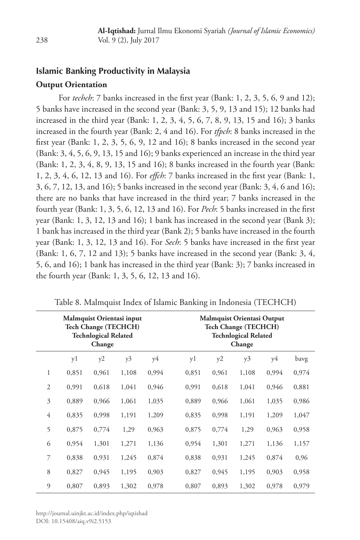## **Islamic Banking Productivity in Malaysia**

## **Output Orientation**

For *techch*: 7 banks increased in the first year (Bank: 1, 2, 3, 5, 6, 9 and 12); 5 banks have increased in the second year (Bank: 3, 5, 9, 13 and 15); 12 banks had increased in the third year (Bank: 1, 2, 3, 4, 5, 6, 7, 8, 9, 13, 15 and 16); 3 banks increased in the fourth year (Bank: 2, 4 and 16). For *tfpch*: 8 banks increased in the first year (Bank: 1, 2, 3, 5, 6, 9, 12 and 16); 8 banks increased in the second year (Bank: 3, 4, 5, 6, 9, 13, 15 and 16); 9 banks experienced an increase in the third year (Bank: 1, 2, 3, 4, 8, 9, 13, 15 and 16); 8 banks increased in the fourth year (Bank: 1, 2, 3, 4, 6, 12, 13 and 16). For *effch*: 7 banks increased in the first year (Bank: 1, 3, 6, 7, 12, 13, and 16); 5 banks increased in the second year (Bank: 3, 4, 6 and 16); there are no banks that have increased in the third year; 7 banks increased in the fourth year (Bank: 1, 3, 5, 6, 12, 13 and 16). For *Pech*: 5 banks increased in the first year (Bank: 1, 3, 12, 13 and 16); 1 bank has increased in the second year (Bank 3); 1 bank has increased in the third year (Bank 2); 5 banks have increased in the fourth year (Bank: 1, 3, 12, 13 and 16). For *Sech*: 5 banks have increased in the first year (Bank: 1, 6, 7, 12 and 13); 5 banks have increased in the second year (Bank: 3, 4, 5, 6, and 16); 1 bank has increased in the third year (Bank: 3); 7 banks increased in the fourth year (Bank: 1, 3, 5, 6, 12, 13 and 16).

|                |       | <b>Tech Change (TECHCH)</b><br><b>Technlogical Related</b><br>Change | Malmquist Orientasi input |       |       |       | <b>Malmquist Orientasi Output</b><br>Tech Change (TECHCH)<br><b>Technlogical Related</b><br>Change |       |       |
|----------------|-------|----------------------------------------------------------------------|---------------------------|-------|-------|-------|----------------------------------------------------------------------------------------------------|-------|-------|
|                | y1    | y2                                                                   | y3                        | y4    | y1    | y2    | y3                                                                                                 | y4    | bavg  |
| 1              | 0,851 | 0,961                                                                | 1,108                     | 0,994 | 0,851 | 0,961 | 1,108                                                                                              | 0,994 | 0,974 |
| $\overline{2}$ | 0,991 | 0,618                                                                | 1,041                     | 0,946 | 0,991 | 0,618 | 1,041                                                                                              | 0,946 | 0,881 |
| 3              | 0,889 | 0,966                                                                | 1,061                     | 1,035 | 0,889 | 0,966 | 1,061                                                                                              | 1,035 | 0,986 |
| $\overline{4}$ | 0,835 | 0,998                                                                | 1,191                     | 1,209 | 0,835 | 0,998 | 1,191                                                                                              | 1,209 | 1,047 |
| 5              | 0,875 | 0,774                                                                | 1,29                      | 0,963 | 0,875 | 0,774 | 1,29                                                                                               | 0,963 | 0,958 |
| 6              | 0,954 | 1,301                                                                | 1,271                     | 1,136 | 0,954 | 1,301 | 1,271                                                                                              | 1,136 | 1,157 |
| 7              | 0,838 | 0,931                                                                | 1,245                     | 0,874 | 0,838 | 0,931 | 1,245                                                                                              | 0,874 | 0,96  |
| 8              | 0,827 | 0,945                                                                | 1,195                     | 0,903 | 0,827 | 0,945 | 1,195                                                                                              | 0,903 | 0,958 |
| $\mathcal{Q}$  | 0,807 | 0,893                                                                | 1,302                     | 0,978 | 0,807 | 0,893 | 1,302                                                                                              | 0,978 | 0,979 |

Table 8. Malmquist Index of Islamic Banking in Indonesia (TECHCH)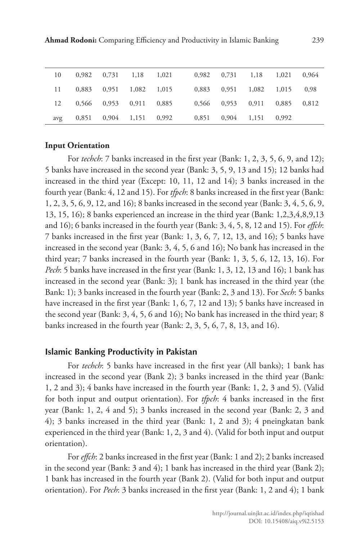| 10  | 0,982 0,731 1,18 1,021     |  |  | 0,982 0,731 1,18 1,021 0,964  |  |  |
|-----|----------------------------|--|--|-------------------------------|--|--|
|     | 11 0,883 0,951 1,082 1,015 |  |  | 0,883 0,951 1,082 1,015 0,98  |  |  |
|     | 12 0,566 0,953 0,911 0,885 |  |  | 0,566 0,953 0,911 0,885 0,812 |  |  |
| avg | 0,851 0,904 1,151 0,992    |  |  | 0,851 0,904 1,151 0,992       |  |  |

## **Input Orientation**

For *techch*: 7 banks increased in the first year (Bank: 1, 2, 3, 5, 6, 9, and 12); 5 banks have increased in the second year (Bank: 3, 5, 9, 13 and 15); 12 banks had increased in the third year (Except: 10, 11, 12 and 14); 3 banks increased in the fourth year (Bank: 4, 12 and 15). For *tfpch*: 8 banks increased in the first year (Bank: 1, 2, 3, 5, 6, 9, 12, and 16); 8 banks increased in the second year (Bank: 3, 4, 5, 6, 9, 13, 15, 16); 8 banks experienced an increase in the third year (Bank: 1,2,3,4,8,9,13 and 16); 6 banks increased in the fourth year (Bank: 3, 4, 5, 8, 12 and 15). For *effch*: 7 banks increased in the first year (Bank: 1, 3, 6, 7, 12, 13, and 16); 5 banks have increased in the second year (Bank: 3, 4, 5, 6 and 16); No bank has increased in the third year; 7 banks increased in the fourth year (Bank: 1, 3, 5, 6, 12, 13, 16). For *Pech*: 5 banks have increased in the first year (Bank: 1, 3, 12, 13 and 16); 1 bank has increased in the second year (Bank: 3); 1 bank has increased in the third year (the Bank: 1); 3 banks increased in the fourth year (Bank: 2, 3 and 13). For *Sech*: 5 banks have increased in the first year (Bank: 1, 6, 7, 12 and 13); 5 banks have increased in the second year (Bank: 3, 4, 5, 6 and 16); No bank has increased in the third year; 8 banks increased in the fourth year (Bank: 2, 3, 5, 6, 7, 8, 13, and 16).

## **Islamic Banking Productivity in Pakistan**

For *techch*: 5 banks have increased in the first year (All banks); 1 bank has increased in the second year (Bank 2); 3 banks increased in the third year (Bank: 1, 2 and 3); 4 banks have increased in the fourth year (Bank: 1, 2, 3 and 5). (Valid for both input and output orientation). For *tfpch*: 4 banks increased in the first year (Bank: 1, 2, 4 and 5); 3 banks increased in the second year (Bank: 2, 3 and 4); 3 banks increased in the third year (Bank: 1, 2 and 3); 4 pneingkatan bank experienced in the third year (Bank: 1, 2, 3 and 4). (Valid for both input and output orientation).

For *effch*: 2 banks increased in the first year (Bank: 1 and 2); 2 banks increased in the second year (Bank: 3 and 4); 1 bank has increased in the third year (Bank 2); 1 bank has increased in the fourth year (Bank 2). (Valid for both input and output orientation). For *Pech*: 3 banks increased in the first year (Bank: 1, 2 and 4); 1 bank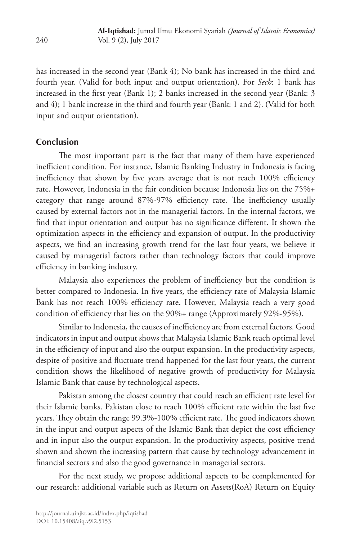has increased in the second year (Bank 4); No bank has increased in the third and fourth year. (Valid for both input and output orientation). For *Sech*: 1 bank has increased in the first year (Bank 1); 2 banks increased in the second year (Bank: 3 and 4); 1 bank increase in the third and fourth year (Bank: 1 and 2). (Valid for both input and output orientation).

## **Conclusion**

The most important part is the fact that many of them have experienced inefficient condition. For instance, Islamic Banking Industry in Indonesia is facing inefficiency that shown by five years average that is not reach 100% efficiency rate. However, Indonesia in the fair condition because Indonesia lies on the 75%+ category that range around 87%-97% efficiency rate. The inefficiency usually caused by external factors not in the managerial factors. In the internal factors, we find that input orientation and output has no significance different. It shown the optimization aspects in the efficiency and expansion of output. In the productivity aspects, we find an increasing growth trend for the last four years, we believe it caused by managerial factors rather than technology factors that could improve efficiency in banking industry.

Malaysia also experiences the problem of inefficiency but the condition is better compared to Indonesia. In five years, the efficiency rate of Malaysia Islamic Bank has not reach 100% efficiency rate. However, Malaysia reach a very good condition of efficiency that lies on the 90%+ range (Approximately 92%-95%).

Similar to Indonesia, the causes of inefficiency are from external factors. Good indicators in input and output shows that Malaysia Islamic Bank reach optimal level in the efficiency of input and also the output expansion. In the productivity aspects, despite of positive and fluctuate trend happened for the last four years, the current condition shows the likelihood of negative growth of productivity for Malaysia Islamic Bank that cause by technological aspects.

Pakistan among the closest country that could reach an efficient rate level for their Islamic banks. Pakistan close to reach 100% efficient rate within the last five years. They obtain the range 99.3%-100% efficient rate. The good indicators shown in the input and output aspects of the Islamic Bank that depict the cost efficiency and in input also the output expansion. In the productivity aspects, positive trend shown and shown the increasing pattern that cause by technology advancement in financial sectors and also the good governance in managerial sectors.

For the next study, we propose additional aspects to be complemented for our research: additional variable such as Return on Assets(RoA) Return on Equity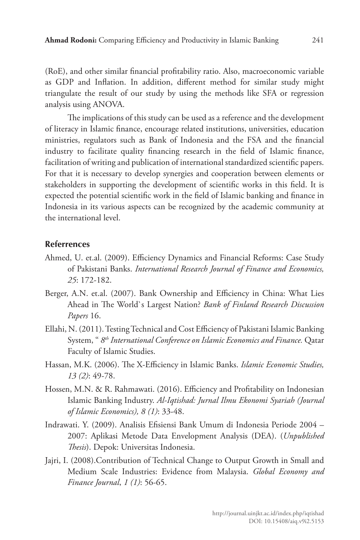(RoE), and other similar financial profitability ratio. Also, macroeconomic variable as GDP and Inflation. In addition, different method for similar study might triangulate the result of our study by using the methods like SFA or regression analysis using ANOVA.

The implications of this study can be used as a reference and the development of literacy in Islamic finance, encourage related institutions, universities, education ministries, regulators such as Bank of Indonesia and the FSA and the financial industry to facilitate quality financing research in the field of Islamic finance, facilitation of writing and publication of international standardized scientific papers. For that it is necessary to develop synergies and cooperation between elements or stakeholders in supporting the development of scientific works in this field. It is expected the potential scientific work in the field of Islamic banking and finance in Indonesia in its various aspects can be recognized by the academic community at the international level.

### **Referrences**

- Ahmed, U. et.al. (2009). Efficiency Dynamics and Financial Reforms: Case Study of Pakistani Banks. *International Research Journal of Finance and Economics, 25*: 172-182.
- Berger, A.N. et.al. (2007). Bank Ownership and Efficiency in China: What Lies Ahead in The World`s Largest Nation? *Bank of Finland Research Discussion Papers* 16.
- Ellahi, N. (2011). Testing Technical and Cost Efficiency of Pakistani Islamic Banking System, " *8th International Conference on Islamic Economics and Finance.* Qatar Faculty of Islamic Studies.
- Hassan, M.K. (2006). The X-Efficiency in Islamic Banks. *Islamic Economic Studies, 13 (2)*: 49-78.
- Hossen, M.N. & R. Rahmawati. (2016). Efficiency and Profitability on Indonesian Islamic Banking Industry. *Al-Iqtishad: Jurnal Ilmu Ekonomi Syariah (Journal of Islamic Economics), 8 (1)*: 33-48.
- Indrawati. Y. (2009). Analisis Efisiensi Bank Umum di Indonesia Periode 2004 2007: Aplikasi Metode Data Envelopment Analysis (DEA). (*Unpublished Thesis*). Depok: Universitas Indonesia.
- Jajri, I. (2008).Contribution of Technical Change to Output Growth in Small and Medium Scale Industries: Evidence from Malaysia. *Global Economy and Finance Journal*, *1 (1)*: 56-65.